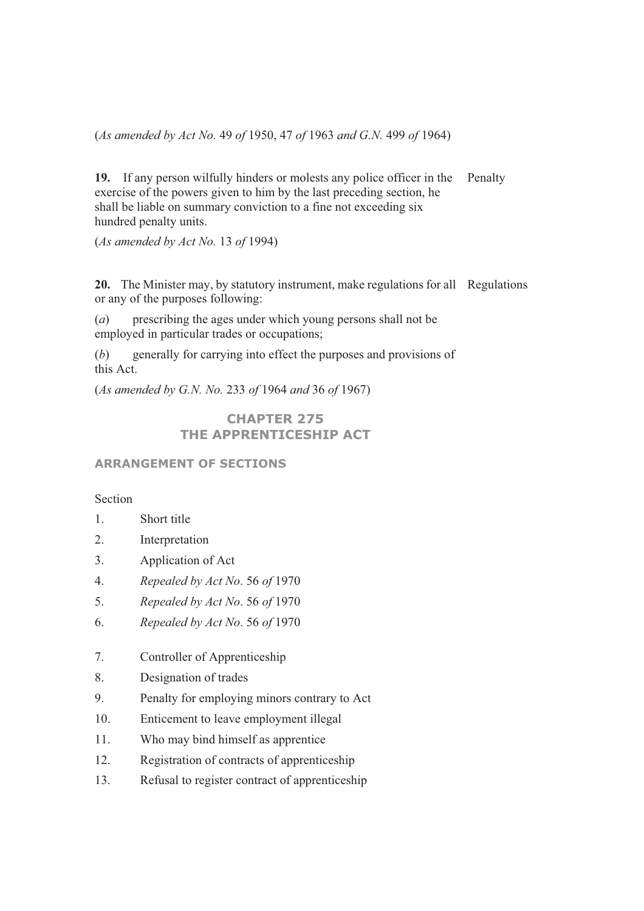(*As amended by Act No.* 49 *of* 1950, 47 *of* 1963 *and G.N.* 499 *of* 1964)

**19.** If any person wilfully hinders or molests any police officer in the exercise of the powers given to him by the last preceding section, he shall be liable on summary conviction to a fine not exceeding six hundred penalty units. Penalty

(*As amended by Act No.* 13 *of* 1994)

**20.** The Minister may, by statutory instrument, make regulations for all Regulations or any of the purposes following:

(*a*) prescribing the ages under which young persons shall not be employed in particular trades or occupations;

(*b*) generally for carrying into effect the purposes and provisions of this Act.

(*As amended by G.N. No.* 233 *of* 1964 *and* 36 *of* 1967)

**CHAPTER 275 THE APPRENTICESHIP ACT** 

#### **ARRANGEMENT OF SECTIONS**

## Section

- 1. Short title
- 2. Interpretation
- 3. Application of Act
- 4. *Repealed by Act No*. 56 *of* 1970
- 5. *Repealed by Act No*. 56 *of* 1970
- 6. *Repealed by Act No*. 56 *of* 1970
- 7. Controller of Apprenticeship
- 8. Designation of trades
- 9. Penalty for employing minors contrary to Act
- 10. Enticement to leave employment illegal
- 11. Who may bind himself as apprentice
- 12. Registration of contracts of apprenticeship
- 13. Refusal to register contract of apprenticeship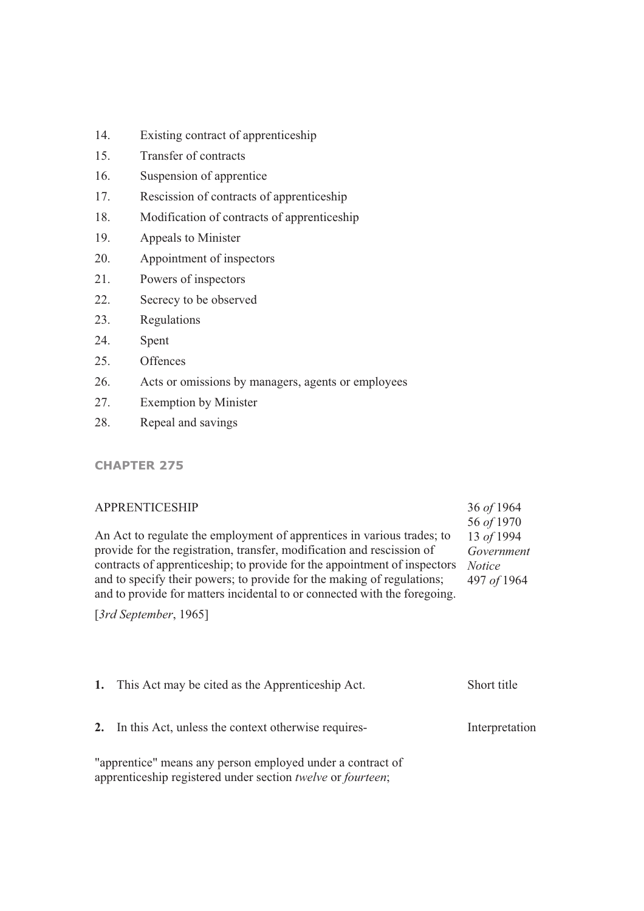- 14. Existing contract of apprenticeship
- 15. Transfer of contracts
- 16. Suspension of apprentice
- 17. Rescission of contracts of apprenticeship
- 18. Modification of contracts of apprenticeship
- 19. Appeals to Minister
- 20. Appointment of inspectors
- 21. Powers of inspectors
- 22. Secrecy to be observed
- 23. Regulations
- 24. Spent
- 25. Offences
- 26. Acts or omissions by managers, agents or employees
- 27. Exemption by Minister
- 28. Repeal and savings

## **CHAPTER 275**

| <b>APPRENTICESHIP</b>                                                                                                                               | 36 of 1964<br>56 of 1970 |
|-----------------------------------------------------------------------------------------------------------------------------------------------------|--------------------------|
| An Act to regulate the employment of apprentices in various trades; to                                                                              | 13 of 1994               |
| provide for the registration, transfer, modification and rescission of                                                                              | Government               |
| contracts of apprenticeship; to provide for the appointment of inspectors                                                                           | <i>Notice</i>            |
| and to specify their powers; to provide for the making of regulations;<br>and to provide for matters incidental to or connected with the foregoing. | 497 of 1964              |
| [ $3rd$ September, 1965]                                                                                                                            |                          |

| 1. This Act may be cited as the Apprenticeship Act.                                                                       | Short title    |
|---------------------------------------------------------------------------------------------------------------------------|----------------|
| 2. In this Act, unless the context otherwise requires-                                                                    | Interpretation |
| "apprentice" means any person employed under a contract of<br>apprenticeship registered under section twelve or fourteen; |                |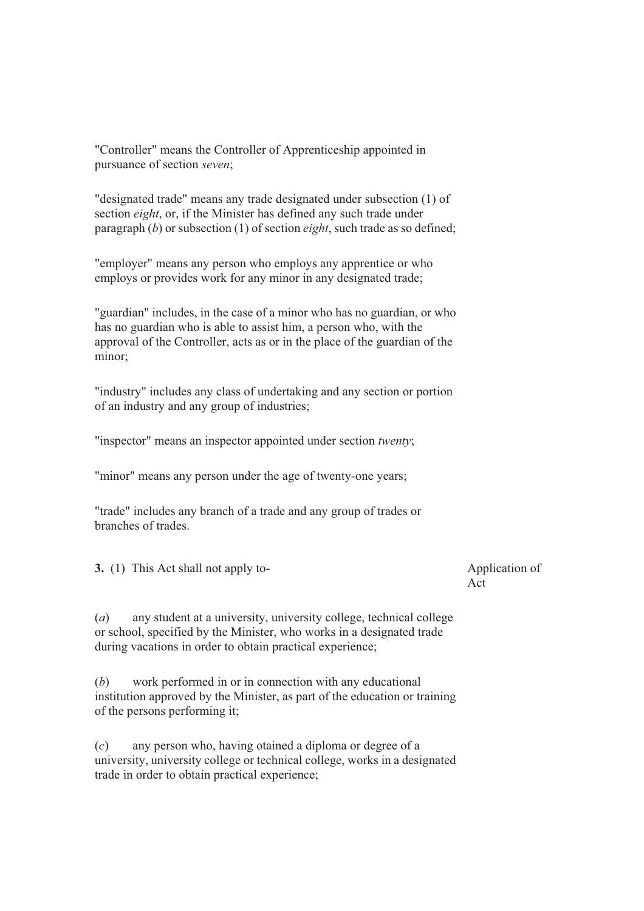"Controller" means the Controller of Apprenticeship appointed in pursuance of section *seven*;

"designated trade" means any trade designated under subsection (1) of section *eight*, or, if the Minister has defined any such trade under paragraph (*b*) or subsection (1) of section *eight*, such trade as so defined;

"employer" means any person who employs any apprentice or who employs or provides work for any minor in any designated trade;

"guardian" includes, in the case of a minor who has no guardian, or who has no guardian who is able to assist him, a person who, with the approval of the Controller, acts as or in the place of the guardian of the minor;

"industry" includes any class of undertaking and any section or portion of an industry and any group of industries;

"inspector" means an inspector appointed under section *twenty*;

"minor" means any person under the age of twenty-one years;

"trade" includes any branch of a trade and any group of trades or branches of trades.

**3.** (1) This Act shall not apply to- Application of

Act

(*a*) any student at a university, university college, technical college or school, specified by the Minister, who works in a designated trade during vacations in order to obtain practical experience;

(*b*) work performed in or in connection with any educational institution approved by the Minister, as part of the education or training of the persons performing it;

(*c*) any person who, having otained a diploma or degree of a university, university college or technical college, works in a designated trade in order to obtain practical experience;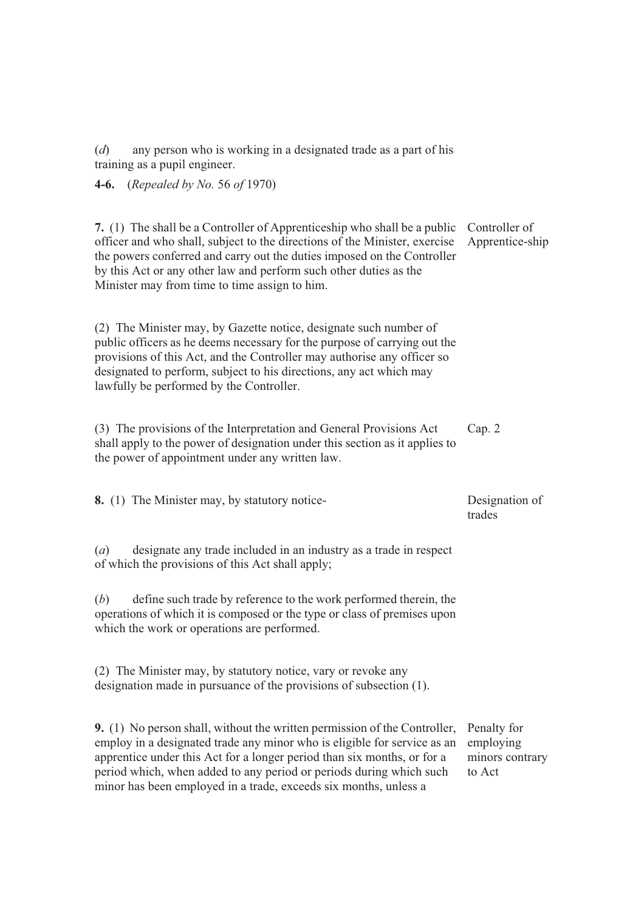(*d*) any person who is working in a designated trade as a part of his training as a pupil engineer.

**4-6.** (*Repealed by No.* 56 *of* 1970)

**7.** (1) The shall be a Controller of Apprenticeship who shall be a public officer and who shall, subject to the directions of the Minister, exercise the powers conferred and carry out the duties imposed on the Controller by this Act or any other law and perform such other duties as the Minister may from time to time assign to him. Controller of Apprentice-ship

(2) The Minister may, by Gazette notice, designate such number of public officers as he deems necessary for the purpose of carrying out the provisions of this Act, and the Controller may authorise any officer so designated to perform, subject to his directions, any act which may lawfully be performed by the Controller.

(3) The provisions of the Interpretation and General Provisions Act shall apply to the power of designation under this section as it applies to the power of appointment under any written law. Cap. 2

**8.** (1) The Minister may, by statutory notice- Designation of trades

(*a*) designate any trade included in an industry as a trade in respect of which the provisions of this Act shall apply;

(*b*) define such trade by reference to the work performed therein, the operations of which it is composed or the type or class of premises upon which the work or operations are performed.

(2) The Minister may, by statutory notice, vary or revoke any designation made in pursuance of the provisions of subsection (1).

**9.** (1) No person shall, without the written permission of the Controller, employ in a designated trade any minor who is eligible for service as an apprentice under this Act for a longer period than six months, or for a period which, when added to any period or periods during which such minor has been employed in a trade, exceeds six months, unless a Penalty for employing minors contrary to Act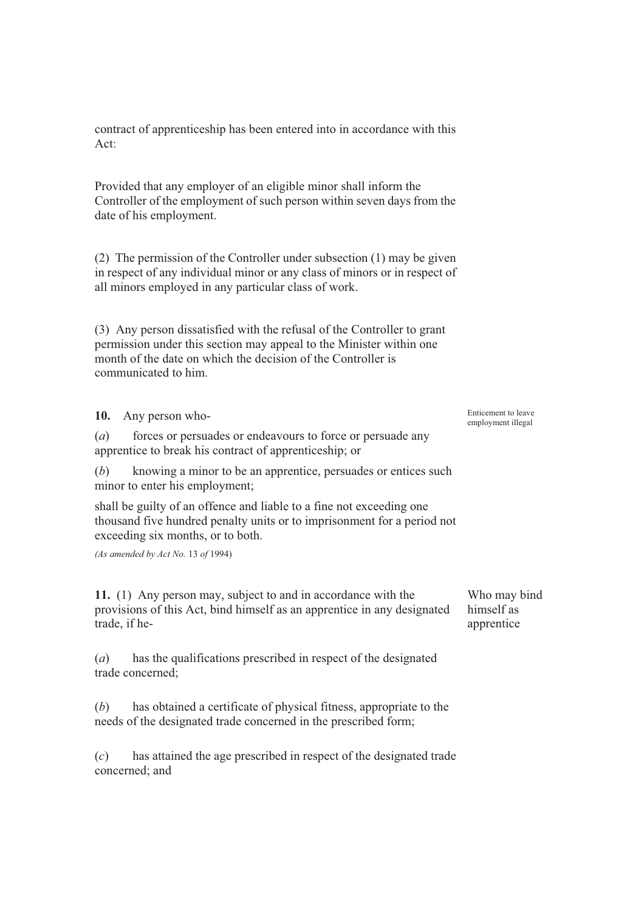contract of apprenticeship has been entered into in accordance with this Act:

Provided that any employer of an eligible minor shall inform the Controller of the employment of such person within seven days from the date of his employment.

(2) The permission of the Controller under subsection (1) may be given in respect of any individual minor or any class of minors or in respect of all minors employed in any particular class of work.

(3) Any person dissatisfied with the refusal of the Controller to grant permission under this section may appeal to the Minister within one month of the date on which the decision of the Controller is communicated to him.

| 10. Any person who-                                                                                                                                                                  | Enticement to leave<br>employment illegal |
|--------------------------------------------------------------------------------------------------------------------------------------------------------------------------------------|-------------------------------------------|
| forces or persuades or endeavours to force or persuade any<br>(a)<br>apprentice to break his contract of apprenticeship; or                                                          |                                           |
| knowing a minor to be an apprentice, persuades or entices such<br>(b)<br>minor to enter his employment;                                                                              |                                           |
| shall be guilty of an offence and liable to a fine not exceeding one<br>thousand five hundred penalty units or to imprisonment for a period not<br>exceeding six months, or to both. |                                           |
| (As amended by Act No. 13 of 1994)                                                                                                                                                   |                                           |
| 11. (1) Any person may, subject to and in accordance with the<br>provisions of this Act, bind himself as an apprentice in any designated<br>trade, if he-                            | Who may bind<br>himself as<br>apprentice  |
| has the qualifications prescribed in respect of the designated<br>(a)<br>trade concerned;                                                                                            |                                           |
| has obtained a certificate of physical fitness, appropriate to the<br>(b)                                                                                                            |                                           |

(*c*) has attained the age prescribed in respect of the designated trade concerned; and

needs of the designated trade concerned in the prescribed form;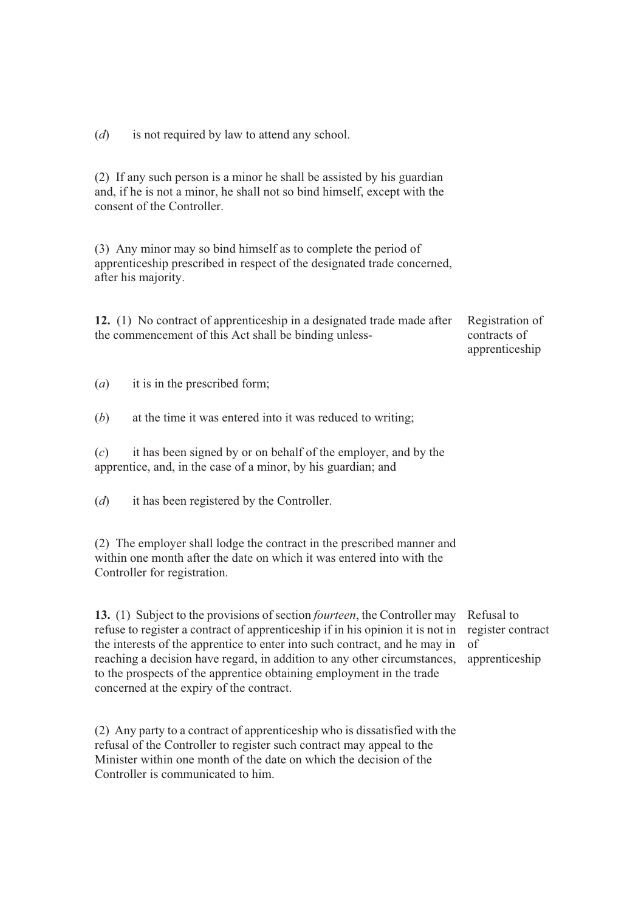(*d*) is not required by law to attend any school.

(2) If any such person is a minor he shall be assisted by his guardian and, if he is not a minor, he shall not so bind himself, except with the consent of the Controller.

(3) Any minor may so bind himself as to complete the period of apprenticeship prescribed in respect of the designated trade concerned, after his majority.

**12.** (1) No contract of apprenticeship in a designated trade made after the commencement of this Act shall be binding unless-

Registration of contracts of apprenticeship

(*a*) it is in the prescribed form;

(*b*) at the time it was entered into it was reduced to writing;

(*c*) it has been signed by or on behalf of the employer, and by the apprentice, and, in the case of a minor, by his guardian; and

(*d*) it has been registered by the Controller.

(2) The employer shall lodge the contract in the prescribed manner and within one month after the date on which it was entered into with the Controller for registration.

**13.** (1) Subject to the provisions of section *fourteen*, the Controller may refuse to register a contract of apprenticeship if in his opinion it is not in the interests of the apprentice to enter into such contract, and he may in reaching a decision have regard, in addition to any other circumstances, to the prospects of the apprentice obtaining employment in the trade concerned at the expiry of the contract.

(2) Any party to a contract of apprenticeship who is dissatisfied with the refusal of the Controller to register such contract may appeal to the Minister within one month of the date on which the decision of the Controller is communicated to him.

Refusal to register contract of apprenticeship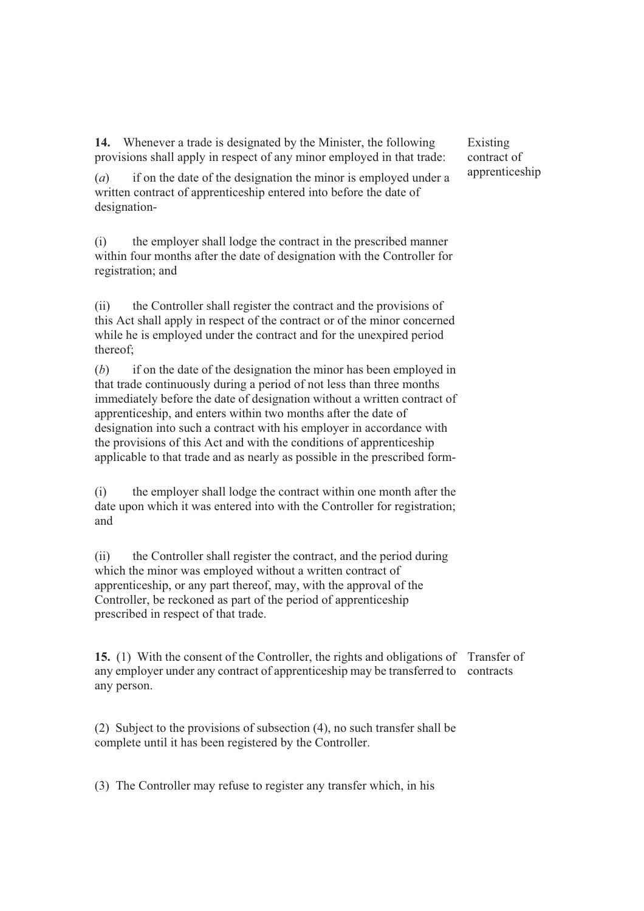**14.** Whenever a trade is designated by the Minister, the following provisions shall apply in respect of any minor employed in that trade:

(*a*) if on the date of the designation the minor is employed under a written contract of apprenticeship entered into before the date of designation-

(i) the employer shall lodge the contract in the prescribed manner within four months after the date of designation with the Controller for registration; and

(ii) the Controller shall register the contract and the provisions of this Act shall apply in respect of the contract or of the minor concerned while he is employed under the contract and for the unexpired period thereof;

(*b*) if on the date of the designation the minor has been employed in that trade continuously during a period of not less than three months immediately before the date of designation without a written contract of apprenticeship, and enters within two months after the date of designation into such a contract with his employer in accordance with the provisions of this Act and with the conditions of apprenticeship applicable to that trade and as nearly as possible in the prescribed form-

(i) the employer shall lodge the contract within one month after the date upon which it was entered into with the Controller for registration; and

(ii) the Controller shall register the contract, and the period during which the minor was employed without a written contract of apprenticeship, or any part thereof, may, with the approval of the Controller, be reckoned as part of the period of apprenticeship prescribed in respect of that trade.

**15.** (1) With the consent of the Controller, the rights and obligations of Transfer of any employer under any contract of apprenticeship may be transferred to contracts any person.

(2) Subject to the provisions of subsection (4), no such transfer shall be complete until it has been registered by the Controller.

(3) The Controller may refuse to register any transfer which, in his

Existing contract of apprenticeship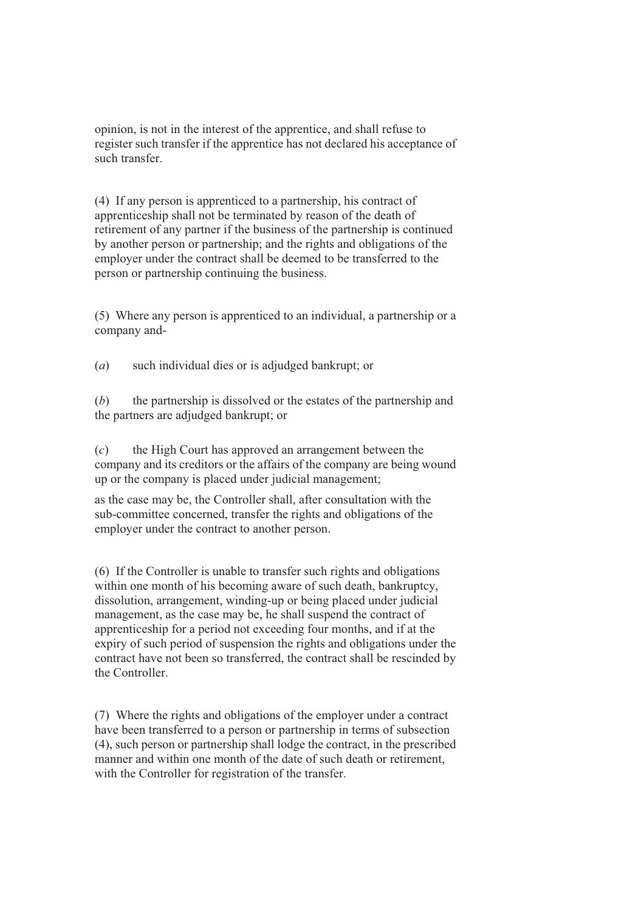opinion, is not in the interest of the apprentice, and shall refuse to register such transfer if the apprentice has not declared his acceptance of such transfer.

(4) If any person is apprenticed to a partnership, his contract of apprenticeship shall not be terminated by reason of the death of retirement of any partner if the business of the partnership is continued by another person or partnership; and the rights and obligations of the employer under the contract shall be deemed to be transferred to the person or partnership continuing the business.

(5) Where any person is apprenticed to an individual, a partnership or a company and-

(*a*) such individual dies or is adjudged bankrupt; or

(*b*) the partnership is dissolved or the estates of the partnership and the partners are adjudged bankrupt; or

(*c*) the High Court has approved an arrangement between the company and its creditors or the affairs of the company are being wound up or the company is placed under judicial management;

as the case may be, the Controller shall, after consultation with the sub-committee concerned, transfer the rights and obligations of the employer under the contract to another person.

(6) If the Controller is unable to transfer such rights and obligations within one month of his becoming aware of such death, bankruptcy, dissolution, arrangement, winding-up or being placed under judicial management, as the case may be, he shall suspend the contract of apprenticeship for a period not exceeding four months, and if at the expiry of such period of suspension the rights and obligations under the contract have not been so transferred, the contract shall be rescinded by the Controller.

(7) Where the rights and obligations of the employer under a contract have been transferred to a person or partnership in terms of subsection (4), such person or partnership shall lodge the contract, in the prescribed manner and within one month of the date of such death or retirement, with the Controller for registration of the transfer.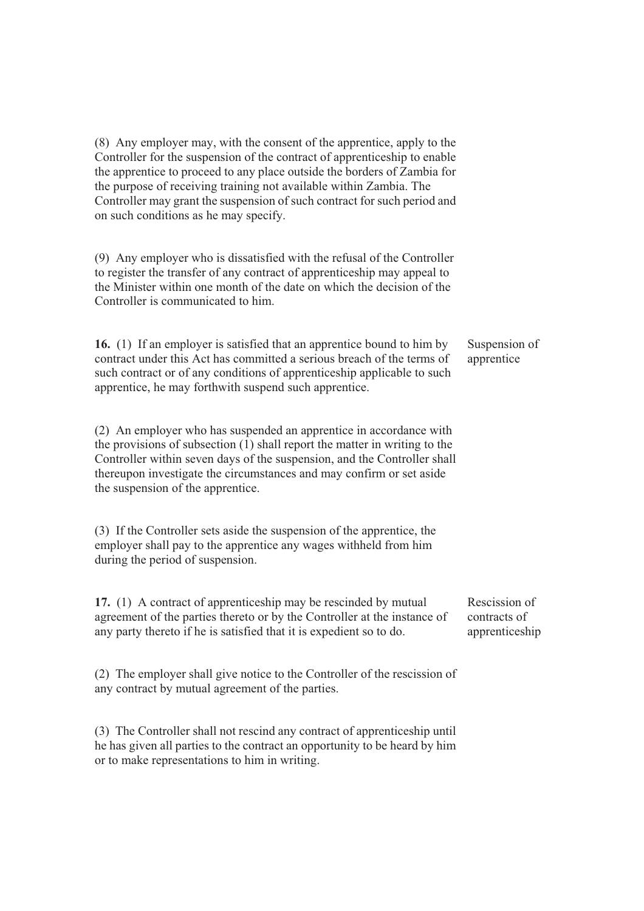(8) Any employer may, with the consent of the apprentice, apply to the Controller for the suspension of the contract of apprenticeship to enable the apprentice to proceed to any place outside the borders of Zambia for the purpose of receiving training not available within Zambia. The Controller may grant the suspension of such contract for such period and on such conditions as he may specify.

(9) Any employer who is dissatisfied with the refusal of the Controller to register the transfer of any contract of apprenticeship may appeal to the Minister within one month of the date on which the decision of the Controller is communicated to him.

**16.** (1) If an employer is satisfied that an apprentice bound to him by contract under this Act has committed a serious breach of the terms of such contract or of any conditions of apprenticeship applicable to such apprentice, he may forthwith suspend such apprentice. Suspension of apprentice

(2) An employer who has suspended an apprentice in accordance with the provisions of subsection  $(1)$  shall report the matter in writing to the Controller within seven days of the suspension, and the Controller shall thereupon investigate the circumstances and may confirm or set aside the suspension of the apprentice.

(3) If the Controller sets aside the suspension of the apprentice, the employer shall pay to the apprentice any wages withheld from him during the period of suspension.

**17.** (1) A contract of apprenticeship may be rescinded by mutual agreement of the parties thereto or by the Controller at the instance of any party thereto if he is satisfied that it is expedient so to do.

(2) The employer shall give notice to the Controller of the rescission of any contract by mutual agreement of the parties.

(3) The Controller shall not rescind any contract of apprenticeship until he has given all parties to the contract an opportunity to be heard by him or to make representations to him in writing.

Rescission of contracts of apprenticeship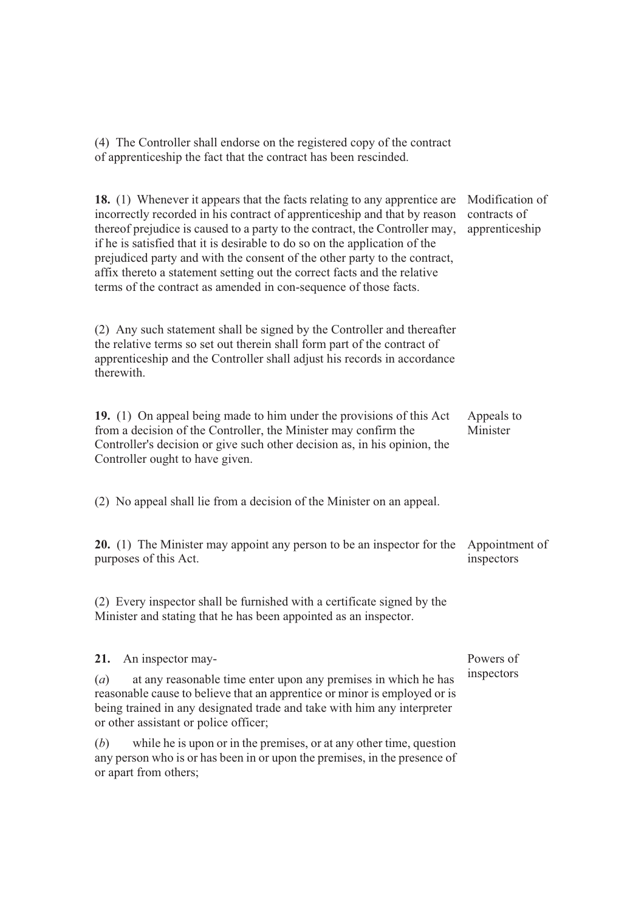(4) The Controller shall endorse on the registered copy of the contract of apprenticeship the fact that the contract has been rescinded.

| 18. (1) Whenever it appears that the facts relating to any apprentice are<br>incorrectly recorded in his contract of apprenticeship and that by reason<br>thereof prejudice is caused to a party to the contract, the Controller may,<br>if he is satisfied that it is desirable to do so on the application of the<br>prejudiced party and with the consent of the other party to the contract,<br>affix thereto a statement setting out the correct facts and the relative<br>terms of the contract as amended in con-sequence of those facts. | Modification of<br>contracts of<br>apprenticeship |
|--------------------------------------------------------------------------------------------------------------------------------------------------------------------------------------------------------------------------------------------------------------------------------------------------------------------------------------------------------------------------------------------------------------------------------------------------------------------------------------------------------------------------------------------------|---------------------------------------------------|
| (2) Any such statement shall be signed by the Controller and thereafter<br>the relative terms so set out therein shall form part of the contract of<br>apprenticeship and the Controller shall adjust his records in accordance<br>therewith.                                                                                                                                                                                                                                                                                                    |                                                   |
| 19. (1) On appeal being made to him under the provisions of this Act<br>from a decision of the Controller, the Minister may confirm the<br>Controller's decision or give such other decision as, in his opinion, the<br>Controller ought to have given.                                                                                                                                                                                                                                                                                          | Appeals to<br>Minister                            |
| (2) No appeal shall lie from a decision of the Minister on an appeal.                                                                                                                                                                                                                                                                                                                                                                                                                                                                            |                                                   |
| <b>20.</b> (1) The Minister may appoint any person to be an inspector for the<br>purposes of this Act.                                                                                                                                                                                                                                                                                                                                                                                                                                           | Appointment of<br>inspectors                      |
| (2) Every inspector shall be furnished with a certificate signed by the<br>Minister and stating that he has been appointed as an inspector.                                                                                                                                                                                                                                                                                                                                                                                                      |                                                   |
| 21.<br>An inspector may-                                                                                                                                                                                                                                                                                                                                                                                                                                                                                                                         | Powers of                                         |
| $(a)$ at any reasonable time enter upon any premises in which he has<br>reasonable cause to believe that an apprentice or minor is employed or is<br>being trained in any designated trade and take with him any interpreter<br>or other assistant or police officer;                                                                                                                                                                                                                                                                            | inspectors                                        |
| while he is upon or in the premises, or at any other time, question<br>( <i>b</i> )<br>any person who is or has been in or upon the premises, in the presence of<br>or apart from others;                                                                                                                                                                                                                                                                                                                                                        |                                                   |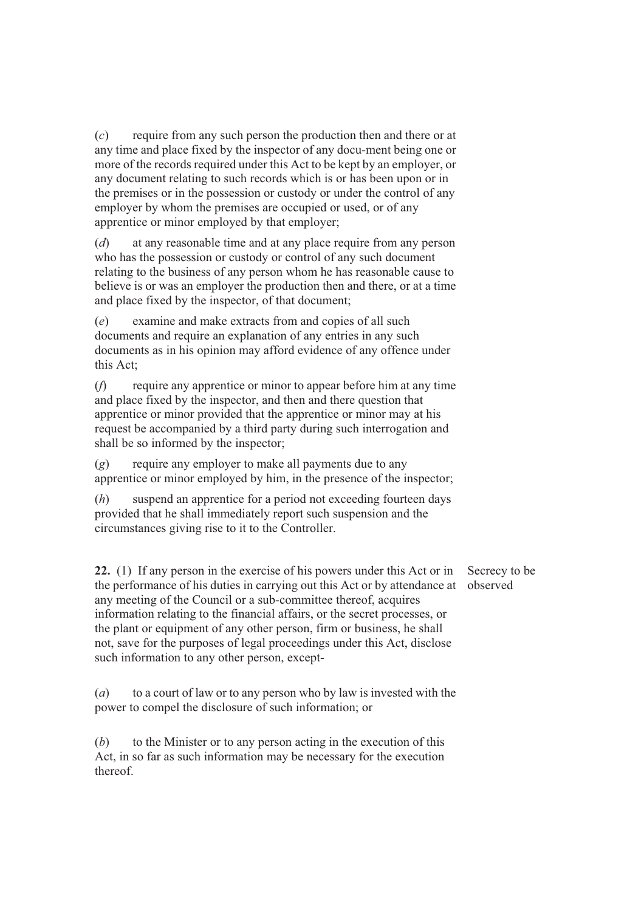(*c*) require from any such person the production then and there or at any time and place fixed by the inspector of any docu-ment being one or more of the records required under this Act to be kept by an employer, or any document relating to such records which is or has been upon or in the premises or in the possession or custody or under the control of any employer by whom the premises are occupied or used, or of any apprentice or minor employed by that employer;

(*d*) at any reasonable time and at any place require from any person who has the possession or custody or control of any such document relating to the business of any person whom he has reasonable cause to believe is or was an employer the production then and there, or at a time and place fixed by the inspector, of that document;

(*e*) examine and make extracts from and copies of all such documents and require an explanation of any entries in any such documents as in his opinion may afford evidence of any offence under this Act;

(*f*) require any apprentice or minor to appear before him at any time and place fixed by the inspector, and then and there question that apprentice or minor provided that the apprentice or minor may at his request be accompanied by a third party during such interrogation and shall be so informed by the inspector;

(*g*) require any employer to make all payments due to any apprentice or minor employed by him, in the presence of the inspector;

(*h*) suspend an apprentice for a period not exceeding fourteen days provided that he shall immediately report such suspension and the circumstances giving rise to it to the Controller.

**22.** (1) If any person in the exercise of his powers under this Act or in the performance of his duties in carrying out this Act or by attendance at observed any meeting of the Council or a sub-committee thereof, acquires information relating to the financial affairs, or the secret processes, or the plant or equipment of any other person, firm or business, he shall not, save for the purposes of legal proceedings under this Act, disclose such information to any other person, except-

(*a*) to a court of law or to any person who by law is invested with the power to compel the disclosure of such information; or

(*b*) to the Minister or to any person acting in the execution of this Act, in so far as such information may be necessary for the execution thereof.

Secrecy to be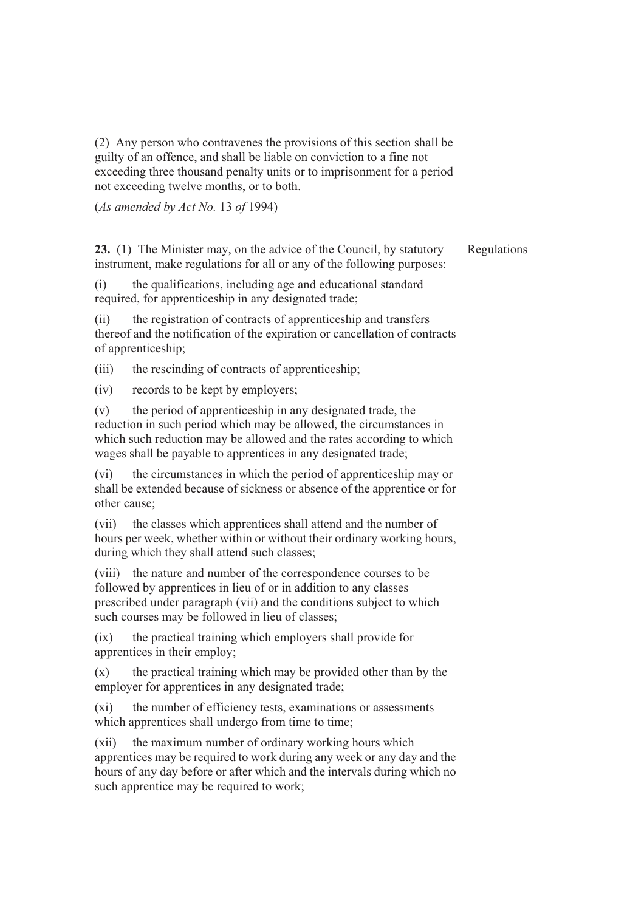(2) Any person who contravenes the provisions of this section shall be guilty of an offence, and shall be liable on conviction to a fine not exceeding three thousand penalty units or to imprisonment for a period not exceeding twelve months, or to both.

(*As amended by Act No.* 13 *of* 1994)

**23.** (1) The Minister may, on the advice of the Council, by statutory instrument, make regulations for all or any of the following purposes: Regulations

(i) the qualifications, including age and educational standard required, for apprenticeship in any designated trade;

(ii) the registration of contracts of apprenticeship and transfers thereof and the notification of the expiration or cancellation of contracts of apprenticeship;

(iii) the rescinding of contracts of apprenticeship;

(iv) records to be kept by employers;

(v) the period of apprenticeship in any designated trade, the reduction in such period which may be allowed, the circumstances in which such reduction may be allowed and the rates according to which wages shall be payable to apprentices in any designated trade;

(vi) the circumstances in which the period of apprenticeship may or shall be extended because of sickness or absence of the apprentice or for other cause;

(vii) the classes which apprentices shall attend and the number of hours per week, whether within or without their ordinary working hours, during which they shall attend such classes;

(viii) the nature and number of the correspondence courses to be followed by apprentices in lieu of or in addition to any classes prescribed under paragraph (vii) and the conditions subject to which such courses may be followed in lieu of classes;

(ix) the practical training which employers shall provide for apprentices in their employ;

 $(x)$  the practical training which may be provided other than by the employer for apprentices in any designated trade;

(xi) the number of efficiency tests, examinations or assessments which apprentices shall undergo from time to time;

(xii) the maximum number of ordinary working hours which apprentices may be required to work during any week or any day and the hours of any day before or after which and the intervals during which no such apprentice may be required to work;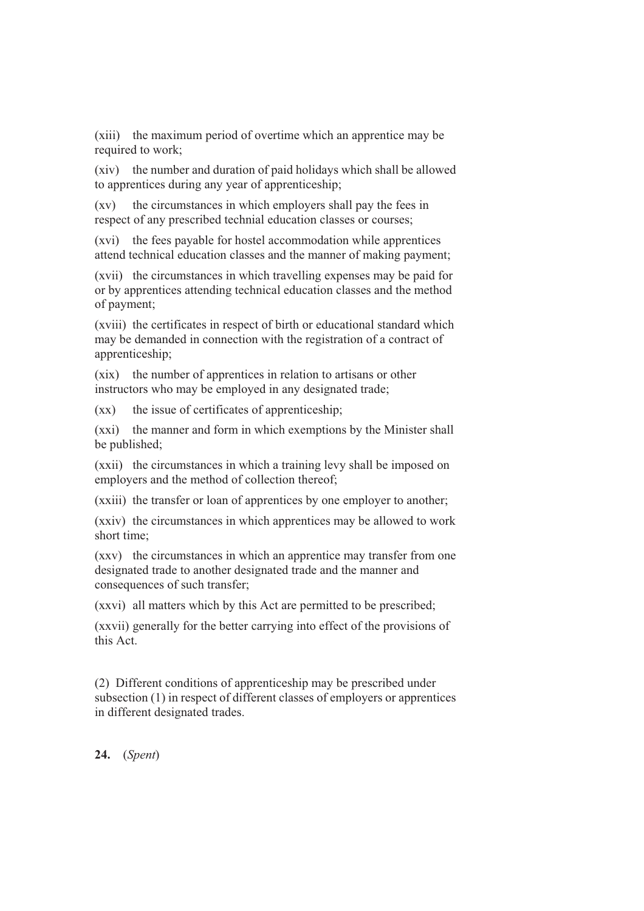(xiii) the maximum period of overtime which an apprentice may be required to work;

(xiv) the number and duration of paid holidays which shall be allowed to apprentices during any year of apprenticeship;

(xv) the circumstances in which employers shall pay the fees in respect of any prescribed technial education classes or courses;

(xvi) the fees payable for hostel accommodation while apprentices attend technical education classes and the manner of making payment;

(xvii) the circumstances in which travelling expenses may be paid for or by apprentices attending technical education classes and the method of payment;

(xviii) the certificates in respect of birth or educational standard which may be demanded in connection with the registration of a contract of apprenticeship;

(xix) the number of apprentices in relation to artisans or other instructors who may be employed in any designated trade;

(xx) the issue of certificates of apprenticeship;

(xxi) the manner and form in which exemptions by the Minister shall be published;

(xxii) the circumstances in which a training levy shall be imposed on employers and the method of collection thereof;

(xxiii) the transfer or loan of apprentices by one employer to another;

(xxiv) the circumstances in which apprentices may be allowed to work short time;

(xxv) the circumstances in which an apprentice may transfer from one designated trade to another designated trade and the manner and consequences of such transfer;

(xxvi) all matters which by this Act are permitted to be prescribed;

(xxvii) generally for the better carrying into effect of the provisions of this Act.

(2) Different conditions of apprenticeship may be prescribed under subsection (1) in respect of different classes of employers or apprentices in different designated trades.

**24.** (*Spent*)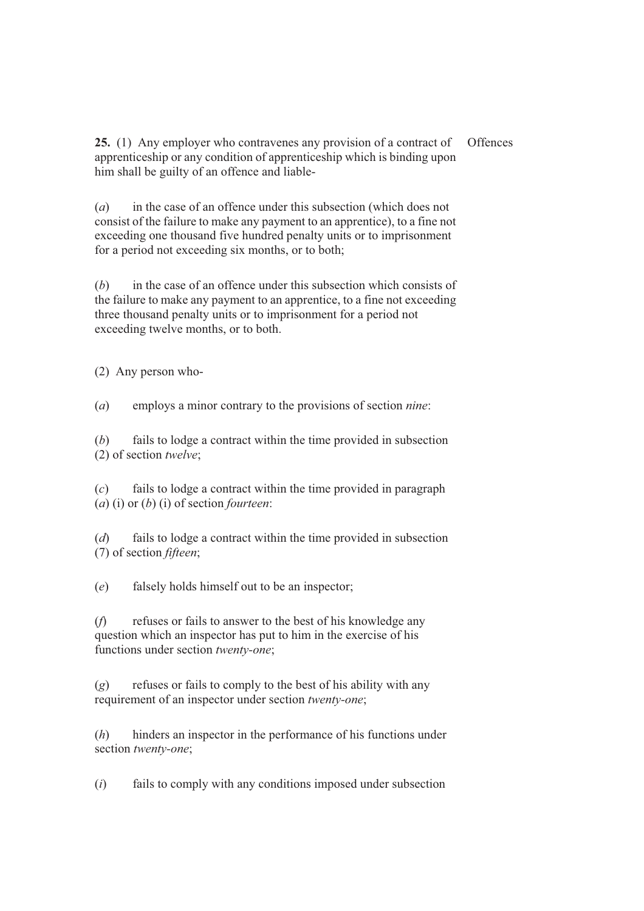**25.** (1) Any employer who contravenes any provision of a contract of apprenticeship or any condition of apprenticeship which is binding upon him shall be guilty of an offence and liable-**Offences** 

(*a*) in the case of an offence under this subsection (which does not consist of the failure to make any payment to an apprentice), to a fine not exceeding one thousand five hundred penalty units or to imprisonment for a period not exceeding six months, or to both;

(*b*) in the case of an offence under this subsection which consists of the failure to make any payment to an apprentice, to a fine not exceeding three thousand penalty units or to imprisonment for a period not exceeding twelve months, or to both.

(2) Any person who-

(*a*) employs a minor contrary to the provisions of section *nine*:

(*b*) fails to lodge a contract within the time provided in subsection (2) of section *twelve*;

(*c*) fails to lodge a contract within the time provided in paragraph (*a*) (i) or (*b*) (i) of section *fourteen*:

(*d*) fails to lodge a contract within the time provided in subsection (7) of section *fifteen*;

(*e*) falsely holds himself out to be an inspector;

(*f*) refuses or fails to answer to the best of his knowledge any question which an inspector has put to him in the exercise of his functions under section *twenty-one*;

(*g*) refuses or fails to comply to the best of his ability with any requirement of an inspector under section *twenty-one*;

(*h*) hinders an inspector in the performance of his functions under section *twenty-one*;

(*i*) fails to comply with any conditions imposed under subsection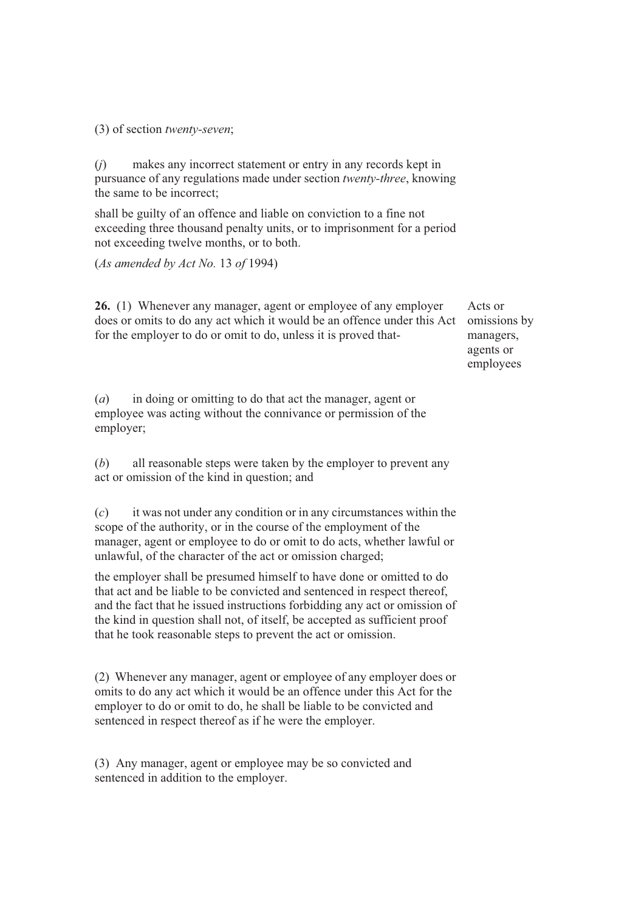(3) of section *twenty-seven*;

(*j*) makes any incorrect statement or entry in any records kept in pursuance of any regulations made under section *twenty-three*, knowing the same to be incorrect;

shall be guilty of an offence and liable on conviction to a fine not exceeding three thousand penalty units, or to imprisonment for a period not exceeding twelve months, or to both.

(*As amended by Act No.* 13 *of* 1994)

**26.** (1) Whenever any manager, agent or employee of any employer does or omits to do any act which it would be an offence under this Act for the employer to do or omit to do, unless it is proved that-

(*a*) in doing or omitting to do that act the manager, agent or employee was acting without the connivance or permission of the employer;

(*b*) all reasonable steps were taken by the employer to prevent any act or omission of the kind in question; and

(*c*) it was not under any condition or in any circumstances within the scope of the authority, or in the course of the employment of the manager, agent or employee to do or omit to do acts, whether lawful or unlawful, of the character of the act or omission charged;

the employer shall be presumed himself to have done or omitted to do that act and be liable to be convicted and sentenced in respect thereof, and the fact that he issued instructions forbidding any act or omission of the kind in question shall not, of itself, be accepted as sufficient proof that he took reasonable steps to prevent the act or omission.

(2) Whenever any manager, agent or employee of any employer does or omits to do any act which it would be an offence under this Act for the employer to do or omit to do, he shall be liable to be convicted and sentenced in respect thereof as if he were the employer.

(3) Any manager, agent or employee may be so convicted and sentenced in addition to the employer.

Acts or omissions by managers, agents or employees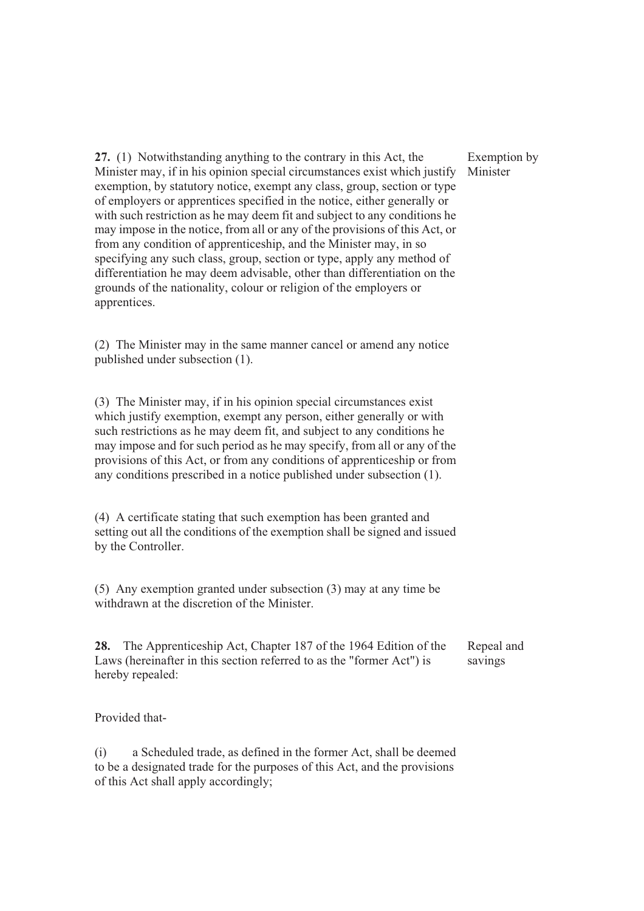**27.** (1) Notwithstanding anything to the contrary in this Act, the Minister may, if in his opinion special circumstances exist which justify exemption, by statutory notice, exempt any class, group, section or type of employers or apprentices specified in the notice, either generally or with such restriction as he may deem fit and subject to any conditions he may impose in the notice, from all or any of the provisions of this Act, or from any condition of apprenticeship, and the Minister may, in so specifying any such class, group, section or type, apply any method of differentiation he may deem advisable, other than differentiation on the grounds of the nationality, colour or religion of the employers or apprentices.

(2) The Minister may in the same manner cancel or amend any notice published under subsection (1).

(3) The Minister may, if in his opinion special circumstances exist which justify exemption, exempt any person, either generally or with such restrictions as he may deem fit, and subject to any conditions he may impose and for such period as he may specify, from all or any of the provisions of this Act, or from any conditions of apprenticeship or from any conditions prescribed in a notice published under subsection (1).

(4) A certificate stating that such exemption has been granted and setting out all the conditions of the exemption shall be signed and issued by the Controller.

(5) Any exemption granted under subsection (3) may at any time be withdrawn at the discretion of the Minister.

**28.** The Apprenticeship Act, Chapter 187 of the 1964 Edition of the Laws (hereinafter in this section referred to as the "former Act") is hereby repealed: Repeal and savings

Provided that-

(i) a Scheduled trade, as defined in the former Act, shall be deemed to be a designated trade for the purposes of this Act, and the provisions of this Act shall apply accordingly;

## Exemption by Minister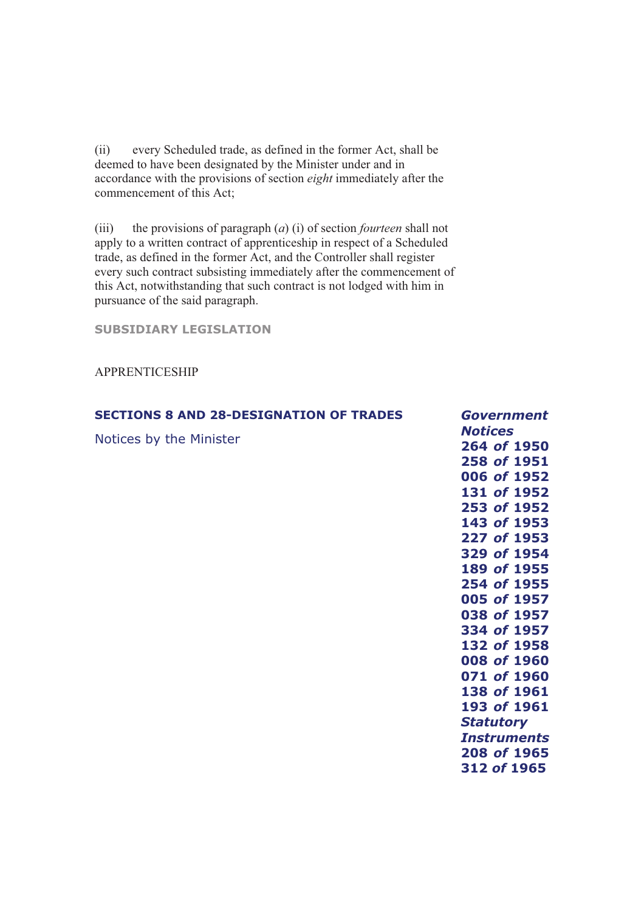(ii) every Scheduled trade, as defined in the former Act, shall be deemed to have been designated by the Minister under and in accordance with the provisions of section *eight* immediately after the commencement of this Act;

(iii) the provisions of paragraph (*a*) (i) of section *fourteen* shall not apply to a written contract of apprenticeship in respect of a Scheduled trade, as defined in the former Act, and the Controller shall register every such contract subsisting immediately after the commencement of this Act, notwithstanding that such contract is not lodged with him in pursuance of the said paragraph.

**SECTIONS 8 AND 28-DESIGNATION OF TRADES** 

**SUBSIDIARY LEGISLATION** 

APPRENTICESHIP

|                         | <b>Notices</b>     |
|-------------------------|--------------------|
| Notices by the Minister | 264 of 1950        |
|                         | 258 of 1951        |
|                         | 006 of 1952        |
|                         | 131 of 1952        |
|                         | 253 of 1952        |
|                         | 143 of 1953        |
|                         | 227 of 1953        |
|                         | 329 of 1954        |
|                         | 189 of 1955        |
|                         | 254 of 1955        |
|                         | 005 of 1957        |
|                         | 038 of 1957        |
|                         | 334 of 1957        |
|                         | 132 of 1958        |
|                         | 008 of 1960        |
|                         | 071 of 1960        |
|                         | 138 of 1961        |
|                         | 193 of 1961        |
|                         | <b>Statutory</b>   |
|                         | <b>Instruments</b> |
|                         | 208 of 1965        |
|                         | 312 of 1965        |
|                         |                    |

*Government*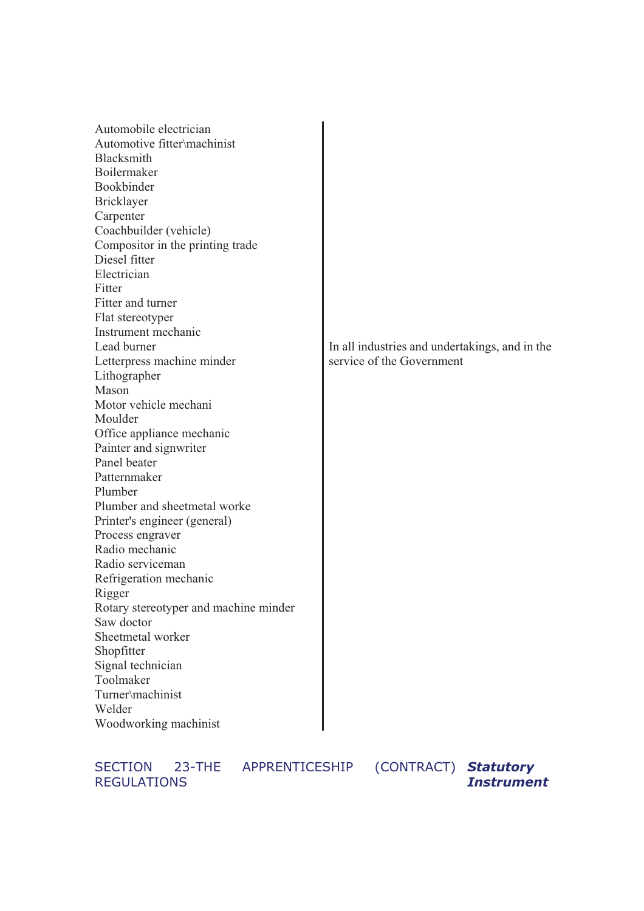| Automobile electrician                |                                                |
|---------------------------------------|------------------------------------------------|
| Automotive fitter\machinist           |                                                |
| Blacksmith                            |                                                |
| Boilermaker                           |                                                |
| Bookbinder                            |                                                |
| Bricklayer                            |                                                |
| Carpenter                             |                                                |
| Coachbuilder (vehicle)                |                                                |
| Compositor in the printing trade      |                                                |
| Diesel fitter                         |                                                |
| Electrician                           |                                                |
| Fitter                                |                                                |
| Fitter and turner                     |                                                |
| Flat stereotyper                      |                                                |
| Instrument mechanic                   |                                                |
| Lead burner                           | In all industries and undertakings, and in the |
| Letterpress machine minder            | service of the Government                      |
| Lithographer                          |                                                |
| Mason                                 |                                                |
| Motor vehicle mechani                 |                                                |
| Moulder                               |                                                |
| Office appliance mechanic             |                                                |
| Painter and signwriter                |                                                |
| Panel beater                          |                                                |
| Patternmaker                          |                                                |
| Plumber                               |                                                |
| Plumber and sheetmetal worke          |                                                |
| Printer's engineer (general)          |                                                |
| Process engraver                      |                                                |
| Radio mechanic                        |                                                |
| Radio serviceman                      |                                                |
| Refrigeration mechanic                |                                                |
| Rigger                                |                                                |
| Rotary stereotyper and machine minder |                                                |
| Saw doctor                            |                                                |
| Sheetmetal worker                     |                                                |
| Shopfitter                            |                                                |
| Signal technician                     |                                                |
| Toolmaker                             |                                                |
| Turner\machinist                      |                                                |
| Welder                                |                                                |
| Woodworking machinist                 |                                                |

SECTION 23-THE APPRENTICESHIP (CONTRACT) *Statutory* REGULATIONS

*Instrument*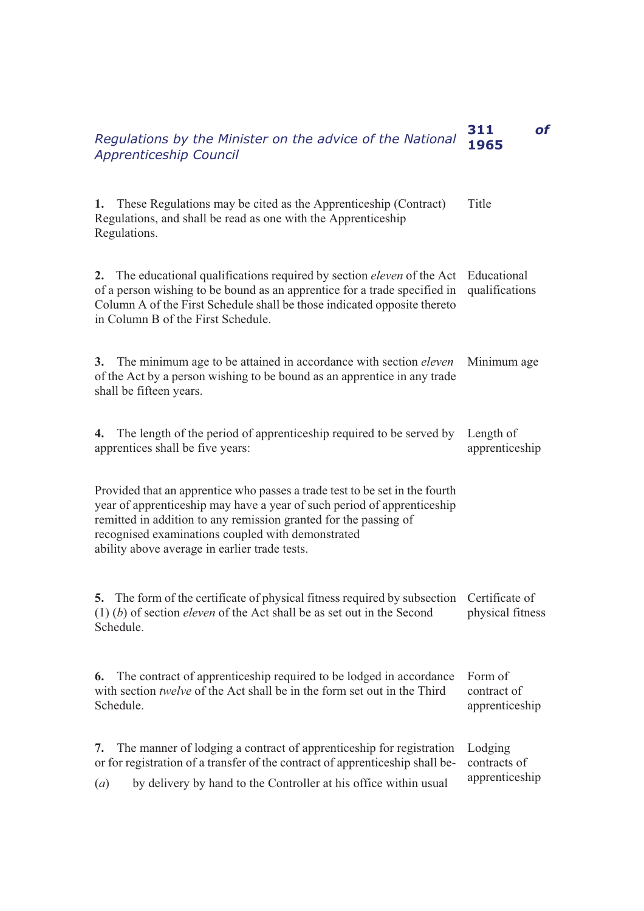| Regulations by the Minister on the advice of the National<br><b>Apprenticeship Council</b>                                                                                                                                                                                                                                       | 311<br>of<br>1965                         |
|----------------------------------------------------------------------------------------------------------------------------------------------------------------------------------------------------------------------------------------------------------------------------------------------------------------------------------|-------------------------------------------|
| These Regulations may be cited as the Apprenticeship (Contract)<br>1.<br>Regulations, and shall be read as one with the Apprenticeship<br>Regulations.                                                                                                                                                                           | Title                                     |
| The educational qualifications required by section <i>eleven</i> of the Act<br>2.<br>of a person wishing to be bound as an apprentice for a trade specified in<br>Column A of the First Schedule shall be those indicated opposite thereto<br>in Column B of the First Schedule.                                                 | Educational<br>qualifications             |
| 3. The minimum age to be attained in accordance with section <i>eleven</i><br>of the Act by a person wishing to be bound as an apprentice in any trade<br>shall be fifteen years.                                                                                                                                                | Minimum age                               |
| The length of the period of apprenticeship required to be served by<br>4.<br>apprentices shall be five years:                                                                                                                                                                                                                    | Length of<br>apprenticeship               |
| Provided that an apprentice who passes a trade test to be set in the fourth<br>year of apprenticeship may have a year of such period of apprenticeship<br>remitted in addition to any remission granted for the passing of<br>recognised examinations coupled with demonstrated<br>ability above average in earlier trade tests. |                                           |
| 5. The form of the certificate of physical fitness required by subsection Certificate of<br>$(1)$ (b) of section <i>eleven</i> of the Act shall be as set out in the Second<br>Schedule.                                                                                                                                         | physical fitness                          |
| The contract of apprenticeship required to be lodged in accordance<br>6.<br>with section twelve of the Act shall be in the form set out in the Third<br>Schedule.                                                                                                                                                                | Form of<br>contract of<br>apprenticeship  |
| The manner of lodging a contract of apprenticeship for registration<br>7.<br>or for registration of a transfer of the contract of apprenticeship shall be-<br>by delivery by hand to the Controller at his office within usual<br>(a)                                                                                            | Lodging<br>contracts of<br>apprenticeship |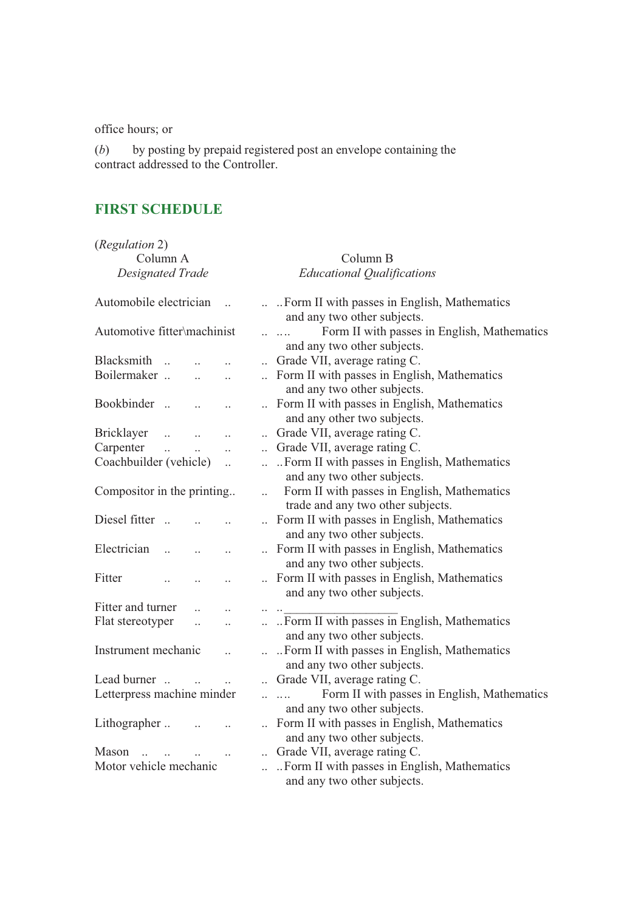office hours; or

(*b*) by posting by prepaid registered post an envelope containing the contract addressed to the Controller.

# **FIRST SCHEDULE**

| (Regulation 2)<br>Column A               |                      | Column B                                                                                                   |
|------------------------------------------|----------------------|------------------------------------------------------------------------------------------------------------|
| <b>Designated Trade</b>                  |                      | <b>Educational Qualifications</b>                                                                          |
| Automobile electrician                   |                      | Form II with passes in English, Mathematics<br>and any two other subjects.                                 |
| Automotive fitter\machinist              |                      | Form II with passes in English, Mathematics<br><br>and any two other subjects.                             |
| Blacksmith<br>$\ddot{\phantom{a}}$       |                      | Grade VII, average rating C.                                                                               |
| Boilermaker                              |                      | Form II with passes in English, Mathematics<br>and any two other subjects.                                 |
| Bookbinder<br>$\dddot{\phantom{1}}$      | $\ddot{\phantom{a}}$ | Form II with passes in English, Mathematics<br>and any other two subjects.                                 |
| <b>Bricklayer</b><br>$\ddotsc$           |                      | Grade VII, average rating C.                                                                               |
| Carpenter<br>$\ddot{\phantom{a}}$        |                      | Grade VII, average rating C.                                                                               |
| Coachbuilder (vehicle)                   | $\ddot{\phantom{a}}$ | Form II with passes in English, Mathematics<br>and any two other subjects.                                 |
| Compositor in the printing               | $\ddotsc$            | Form II with passes in English, Mathematics<br>trade and any two other subjects.                           |
| Diesel fitter<br>$\dddot{\phantom{0}}$   |                      | Form II with passes in English, Mathematics<br>and any two other subjects.                                 |
| Electrician                              | $\ddot{\phantom{a}}$ | Form II with passes in English, Mathematics<br>and any two other subjects.                                 |
| Fitter                                   |                      | Form II with passes in English, Mathematics<br>and any two other subjects.                                 |
| Fitter and turner                        |                      |                                                                                                            |
| Flat stereotyper<br>$\ddot{\phantom{a}}$ |                      | Form II with passes in English, Mathematics<br>and any two other subjects.                                 |
| Instrument mechanic                      | $\ddot{\phantom{a}}$ | Form II with passes in English, Mathematics<br>and any two other subjects.                                 |
| Lead burner                              |                      | Grade VII, average rating C.                                                                               |
| Letterpress machine minder               |                      | Form II with passes in English, Mathematics<br>$\overline{\phantom{a}}$<br>and any two other subjects.     |
| Lithographer                             |                      | Form II with passes in English, Mathematics<br>and any two other subjects.                                 |
| Mason<br>Motor vehicle mechanic          | $\ddot{\phantom{0}}$ | Grade VII, average rating C.<br>Form II with passes in English, Mathematics<br>and any two other subjects. |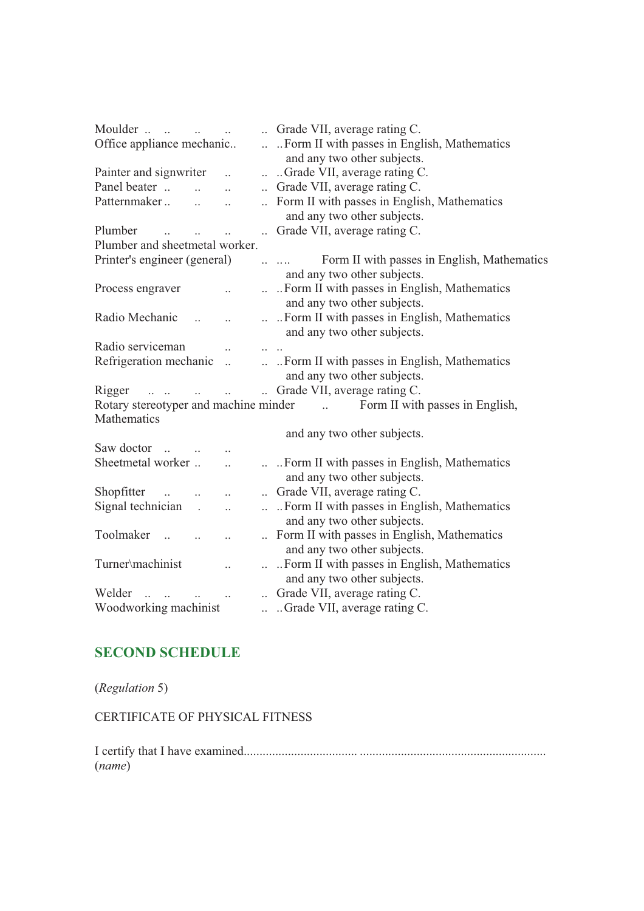| Moulder                                                      |                      | Grade VII, average rating C.                                               |  |
|--------------------------------------------------------------|----------------------|----------------------------------------------------------------------------|--|
| Office appliance mechanic                                    | $\ddotsc$            | Form II with passes in English, Mathematics<br>and any two other subjects. |  |
| Painter and signwriter                                       | $\ddot{\phantom{0}}$ | Grade VII, average rating C.                                               |  |
| Panel beater<br>$\ddot{\phantom{a}}$<br>$\ddot{\phantom{a}}$ | $\ddot{\phantom{0}}$ | Grade VII, average rating C.                                               |  |
| Patternmaker<br>$\ddot{\phantom{0}}$                         |                      | Form II with passes in English, Mathematics                                |  |
|                                                              |                      | and any two other subjects.                                                |  |
| Plumber                                                      |                      | Grade VII, average rating C.                                               |  |
| Plumber and sheetmetal worker.                               |                      |                                                                            |  |
| Printer's engineer (general)                                 |                      | Form II with passes in English, Mathematics                                |  |
|                                                              |                      | and any two other subjects.                                                |  |
| Process engraver                                             |                      | Form II with passes in English, Mathematics                                |  |
|                                                              |                      | and any two other subjects.                                                |  |
| Radio Mechanic                                               |                      | Form II with passes in English, Mathematics                                |  |
|                                                              |                      | and any two other subjects.                                                |  |
| Radio serviceman                                             |                      |                                                                            |  |
| Refrigeration mechanic<br>$\ddot{\cdot}$                     |                      | Form II with passes in English, Mathematics                                |  |
|                                                              |                      | and any two other subjects.                                                |  |
| Rigger                                                       |                      | Grade VII, average rating C.                                               |  |
| Rotary stereotyper and machine minder                        |                      | Form II with passes in English,                                            |  |
| Mathematics                                                  |                      |                                                                            |  |
|                                                              |                      | and any two other subjects.                                                |  |
| Saw doctor                                                   |                      |                                                                            |  |
| Sheetmetal worker<br>$\ddot{\phantom{a}}$                    |                      | Form II with passes in English, Mathematics                                |  |
|                                                              |                      | and any two other subjects.                                                |  |
| Shopfitter<br>$\dddot{\phantom{0}}$<br>$\ddot{\phantom{a}}$  |                      | Grade VII, average rating C.                                               |  |
| Signal technician.<br>$\ddot{\phantom{a}}$                   | $\ddotsc$            | Form II with passes in English, Mathematics                                |  |
|                                                              |                      | and any two other subjects.                                                |  |
| Toolmaker<br>$\sim$                                          |                      | Form II with passes in English, Mathematics                                |  |
|                                                              |                      | and any two other subjects.                                                |  |
| Turner\machinist                                             |                      | Form II with passes in English, Mathematics                                |  |
|                                                              |                      | and any two other subjects.                                                |  |
| Welder                                                       |                      | Grade VII, average rating C.                                               |  |
| Woodworking machinist                                        |                      | Grade VII, average rating C.                                               |  |

# **SECOND SCHEDULE**

(*Regulation* 5)

CERTIFICATE OF PHYSICAL FITNESS

I certify that I have examined.................................... ........................................................... (*name*)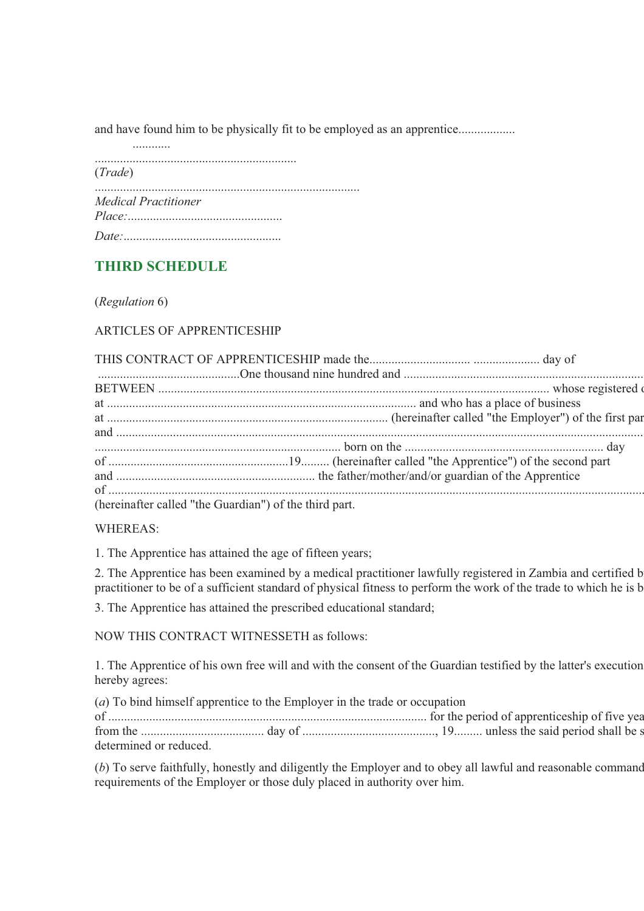and have found him to be physically fit to be employed as an apprentice..................

| (Trade) |                             |
|---------|-----------------------------|
|         | <b>Medical Practitioner</b> |
|         |                             |

# **THIRD SCHEDULE**

(*Regulation* 6)

ARTICLES OF APPRENTICESHIP

| (hereinafter called "the Guardian") of the third part. |  |
|--------------------------------------------------------|--|

WHEREAS:

1. The Apprentice has attained the age of fifteen years;

2. The Apprentice has been examined by a medical practitioner lawfully registered in Zambia and certified b practitioner to be of a sufficient standard of physical fitness to perform the work of the trade to which he is b

3. The Apprentice has attained the prescribed educational standard;

NOW THIS CONTRACT WITNESSETH as follows:

1. The Apprentice of his own free will and with the consent of the Guardian testified by the latter's execution hereby agrees:

(*a*) To bind himself apprentice to the Employer in the trade or occupation of ..................................................................................................... for the period of apprenticeship of five yea from the ....................................... day of .........................................., 19......... unless the said period shall be s determined or reduced.

(*b*) To serve faithfully, honestly and diligently the Employer and to obey all lawful and reasonable command requirements of the Employer or those duly placed in authority over him.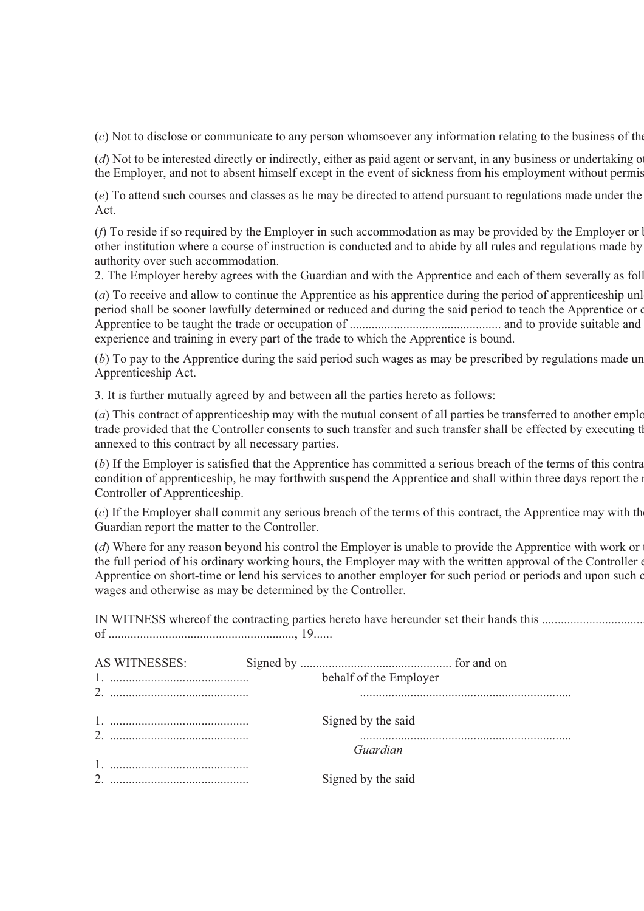(*c*) Not to disclose or communicate to any person whomsoever any information relating to the business of the

(*d*) Not to be interested directly or indirectly, either as paid agent or servant, in any business or undertaking o the Employer, and not to absent himself except in the event of sickness from his employment without permis

(*e*) To attend such courses and classes as he may be directed to attend pursuant to regulations made under the Act.

(*f*) To reside if so required by the Employer in such accommodation as may be provided by the Employer or b other institution where a course of instruction is conducted and to abide by all rules and regulations made by authority over such accommodation.

2. The Employer hereby agrees with the Guardian and with the Apprentice and each of them severally as foll

(*a*) To receive and allow to continue the Apprentice as his apprentice during the period of apprenticeship unl period shall be sooner lawfully determined or reduced and during the said period to teach the Apprentice or c Apprentice to be taught the trade or occupation of ................................................ and to provide suitable and experience and training in every part of the trade to which the Apprentice is bound.

(*b*) To pay to the Apprentice during the said period such wages as may be prescribed by regulations made un Apprenticeship Act.

3. It is further mutually agreed by and between all the parties hereto as follows:

(*a*) This contract of apprenticeship may with the mutual consent of all parties be transferred to another emplo trade provided that the Controller consents to such transfer and such transfer shall be effected by executing th annexed to this contract by all necessary parties.

(*b*) If the Employer is satisfied that the Apprentice has committed a serious breach of the terms of this contra condition of apprenticeship, he may forthwith suspend the Apprentice and shall within three days report the m Controller of Apprenticeship.

(*c*) If the Employer shall commit any serious breach of the terms of this contract, the Apprentice may with the Guardian report the matter to the Controller.

(*d*) Where for any reason beyond his control the Employer is unable to provide the Apprentice with work or the full period of his ordinary working hours, the Employer may with the written approval of the Controller e Apprentice on short-time or lend his services to another employer for such period or periods and upon such c wages and otherwise as may be determined by the Controller.

IN WITNESS whereof the contracting parties hereto have hereunder set their hands this ................................. of ..........................................................., 19......

| AS WITNESSES: |                        |
|---------------|------------------------|
|               | behalf of the Employer |
|               |                        |
|               | Signed by the said     |
|               | Guardian               |
|               |                        |
|               | Signed by the said     |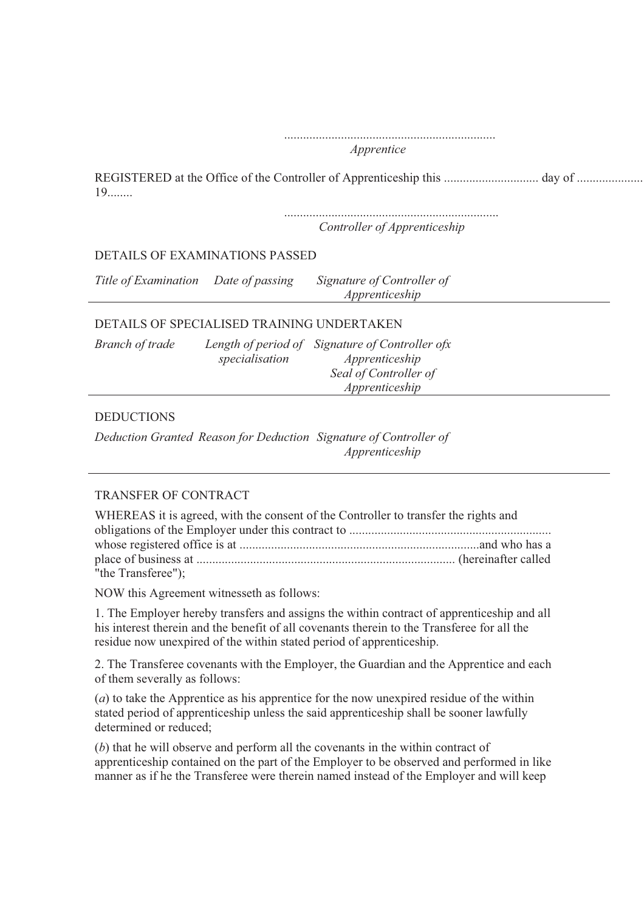|                                      | Apprentice                                   |  |
|--------------------------------------|----------------------------------------------|--|
| $19$                                 |                                              |  |
|                                      | Controller of Apprenticeship                 |  |
| DETAILS OF EXAMINATIONS PASSED       |                                              |  |
| Title of Examination Date of passing | Signature of Controller of<br>Apprenticeship |  |

#### DETAILS OF SPECIALISED TRAINING UNDERTAKEN

| <b>Branch of trade</b> |                | Length of period of Signature of Controller ofx |
|------------------------|----------------|-------------------------------------------------|
|                        | specialisation | Apprenticeship                                  |
|                        |                | Seal of Controller of                           |
|                        |                | Apprenticeship                                  |

#### **DEDUCTIONS**

*Deduction Granted Reason for Deduction Signature of Controller of Apprenticeship*

#### TRANSFER OF CONTRACT

| WHEREAS it is agreed, with the consent of the Controller to transfer the rights and |  |  |  |  |
|-------------------------------------------------------------------------------------|--|--|--|--|
|                                                                                     |  |  |  |  |
|                                                                                     |  |  |  |  |
|                                                                                     |  |  |  |  |
| "the Transferee");                                                                  |  |  |  |  |

NOW this Agreement witnesseth as follows:

1. The Employer hereby transfers and assigns the within contract of apprenticeship and all his interest therein and the benefit of all covenants therein to the Transferee for all the residue now unexpired of the within stated period of apprenticeship.

2. The Transferee covenants with the Employer, the Guardian and the Apprentice and each of them severally as follows:

(*a*) to take the Apprentice as his apprentice for the now unexpired residue of the within stated period of apprenticeship unless the said apprenticeship shall be sooner lawfully determined or reduced;

(*b*) that he will observe and perform all the covenants in the within contract of apprenticeship contained on the part of the Employer to be observed and performed in like manner as if he the Transferee were therein named instead of the Employer and will keep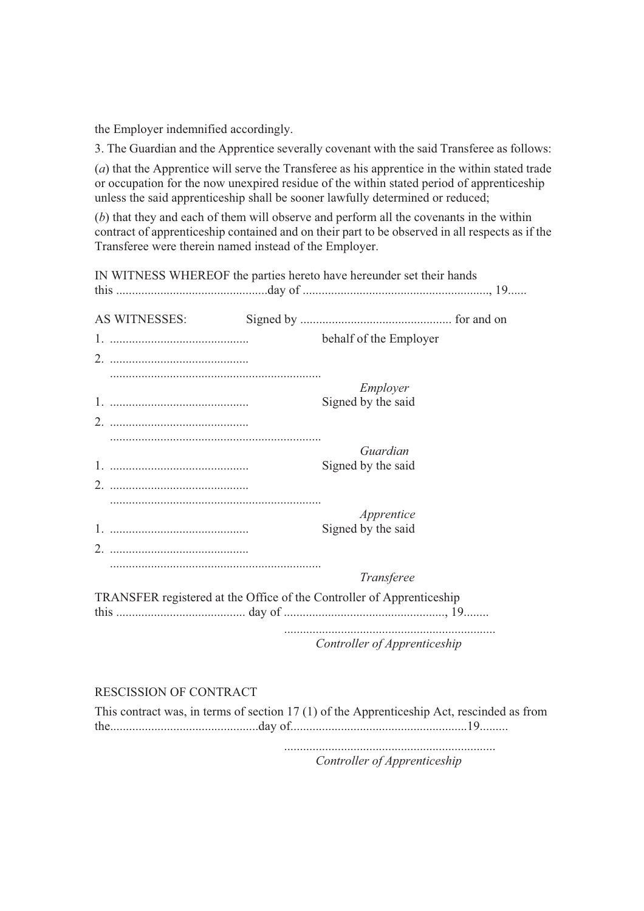the Employer indemnified accordingly.

3. The Guardian and the Apprentice severally covenant with the said Transferee as follows:

(*a*) that the Apprentice will serve the Transferee as his apprentice in the within stated trade or occupation for the now unexpired residue of the within stated period of apprenticeship unless the said apprenticeship shall be sooner lawfully determined or reduced;

(*b*) that they and each of them will observe and perform all the covenants in the within contract of apprenticeship contained and on their part to be observed in all respects as if the Transferee were therein named instead of the Employer.

IN WITNESS WHEREOF the parties hereto have hereunder set their hands this ................................................day of ..........................................................., 19...... AS WITNESSES: Signed by ................................................ for and on 1. ............................................ behalf of the Employer 2. ............................................ ................................................................... *Employer* 1. ............................................ Signed by the said 2. ............................................ ................................................................... *Guardian* 1. ............................................ Signed by the said 2. ............................................ ................................................................... *Apprentice* 1. ............................................ Signed by the said 2. ............................................ ................................................................... *Transferee* TRANSFER registered at the Office of the Controller of Apprenticeship this ......................................... day of ..................................................., 19........ ................................................................... *Controller of Apprenticeship* 

RESCISSION OF CONTRACT

This contract was, in terms of section 17 (1) of the Apprenticeship Act, rescinded as from the...............................................day of........................................................19.........

> ................................................................... *Controller of Apprenticeship*